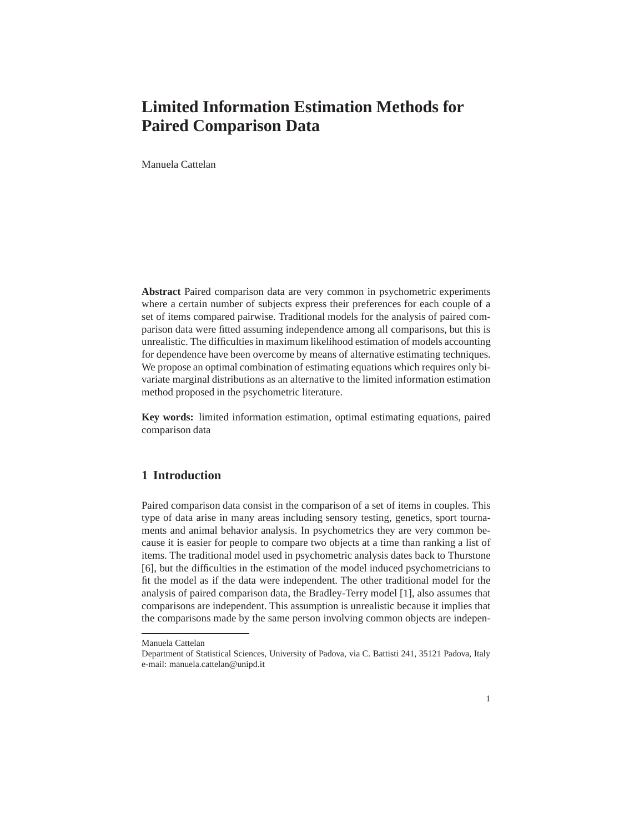# **Limited Information Estimation Methods for Paired Comparison Data**

Manuela Cattelan

**Abstract** Paired comparison data are very common in psychometric experiments where a certain number of subjects express their preferences for each couple of a set of items compared pairwise. Traditional models for the analysis of paired comparison data were fitted assuming independence among all comparisons, but this is unrealistic. The difficulties in maximum likelihood estimation of models accounting for dependence have been overcome by means of alternative estimating techniques. We propose an optimal combination of estimating equations which requires only bivariate marginal distributions as an alternative to the limited information estimation method proposed in the psychometric literature.

**Key words:** limited information estimation, optimal estimating equations, paired comparison data

## **1 Introduction**

Paired comparison data consist in the comparison of a set of items in couples. This type of data arise in many areas including sensory testing, genetics, sport tournaments and animal behavior analysis. In psychometrics they are very common because it is easier for people to compare two objects at a time than ranking a list of items. The traditional model used in psychometric analysis dates back to Thurstone [6], but the difficulties in the estimation of the model induced psychometricians to fit the model as if the data were independent. The other traditional model for the analysis of paired comparison data, the Bradley-Terry model [1], also assumes that comparisons are independent. This assumption is unrealistic because it implies that the comparisons made by the same person involving common objects are indepen-

Manuela Cattelan

Department of Statistical Sciences, University of Padova, via C. Battisti 241, 35121 Padova, Italy e-mail: manuela.cattelan@unipd.it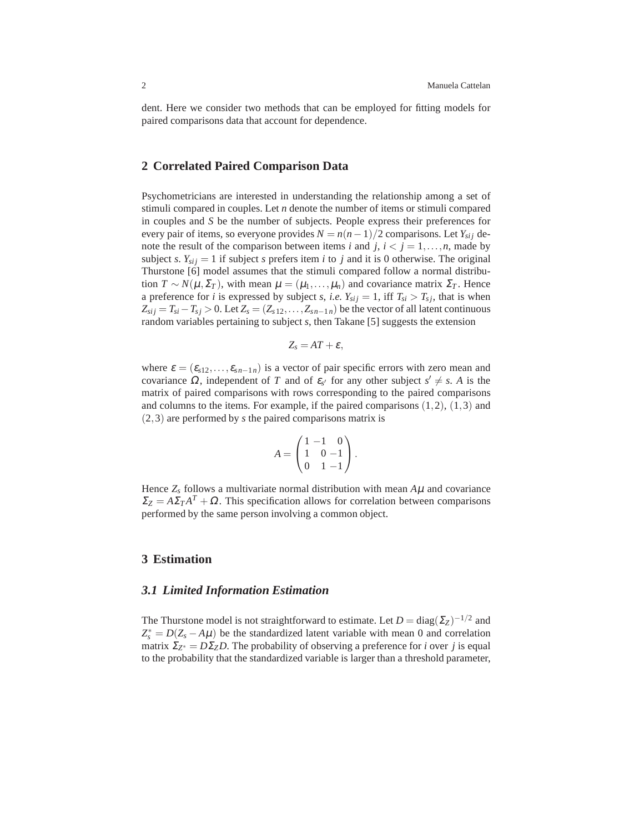dent. Here we consider two methods that can be employed for fitting models for paired comparisons data that account for dependence.

### **2 Correlated Paired Comparison Data**

Psychometricians are interested in understanding the relationship among a set of stimuli compared in couples. Let *n* denote the number of items or stimuli compared in couples and *S* be the number of subjects. People express their preferences for every pair of items, so everyone provides  $N = n(n-1)/2$  comparisons. Let  $Y_{sij}$  denote the result of the comparison between items *i* and *j*,  $i < j = 1, \ldots, n$ , made by subject *s*.  $Y_{sij} = 1$  if subject *s* prefers item *i* to *j* and it is 0 otherwise. The original Thurstone [6] model assumes that the stimuli compared follow a normal distribution  $T \sim N(\mu, \Sigma_T)$ , with mean  $\mu = (\mu_1, \dots, \mu_n)$  and covariance matrix  $\Sigma_T$ . Hence a preference for *i* is expressed by subject *s*, *i.e.*  $Y_{sij} = 1$ , iff  $T_{si} > T_{sj}$ , that is when  $Z_{sij} = T_{si} - T_{sj} > 0$ . Let  $Z_s = (Z_{s12}, \ldots, Z_{sn-1n})$  be the vector of all latent continuous random variables pertaining to subject *s*, then Takane [5] suggests the extension

$$
Z_s = AT + \varepsilon,
$$

where  $\varepsilon = (\varepsilon_{s12}, \ldots, \varepsilon_{sn-1n})$  is a vector of pair specific errors with zero mean and covariance  $\Omega$ , independent of *T* and of  $\varepsilon_{s'}$  for any other subject  $s' \neq s$ . *A* is the matrix of paired comparisons with rows corresponding to the paired comparisons and columns to the items. For example, if the paired comparisons  $(1,2)$ ,  $(1,3)$  and (2,3) are performed by *s* the paired comparisons matrix is

$$
A = \begin{pmatrix} 1 & -1 & 0 \\ 1 & 0 & -1 \\ 0 & 1 & -1 \end{pmatrix}.
$$

Hence  $Z_s$  follows a multivariate normal distribution with mean  $A\mu$  and covariance  $\Sigma_Z = A \Sigma_T A^T + \Omega$ . This specification allows for correlation between comparisons performed by the same person involving a common object.

#### **3 Estimation**

#### *3.1 Limited Information Estimation*

The Thurstone model is not straightforward to estimate. Let  $D = diag(\Sigma_Z)^{-1/2}$  and  $Z_s^* = D(Z_s - A\mu)$  be the standardized latent variable with mean 0 and correlation matrix  $\Sigma_{Z^*} = D\Sigma_Z D$ . The probability of observing a preference for *i* over *j* is equal to the probability that the standardized variable is larger than a threshold parameter,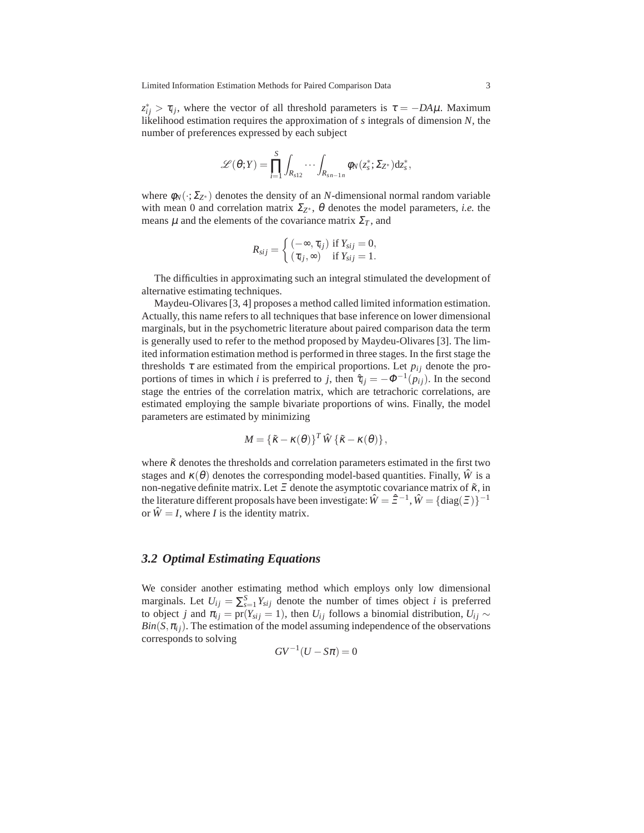$z_{ij}^* > \tau_{ij}$ , where the vector of all threshold parameters is  $\tau = -DA\mu$ . Maximum likelihood estimation requires the approximation of *s* integrals of dimension *N*, the number of preferences expressed by each subject

$$
\mathscr{L}(\theta;Y)=\prod_{i=1}^S\int_{R_{s12}}\cdots\int_{R_{sn-1n}}\phi_N(z_s^*;\Sigma_{Z^*})\mathrm{d} z_s^*,
$$

where  $\phi_N(\cdot;\Sigma_{Z^*})$  denotes the density of an *N*-dimensional normal random variable with mean 0 and correlation matrix  $\Sigma_{Z^*}$ ,  $\theta$  denotes the model parameters, *i.e.* the means  $\mu$  and the elements of the covariance matrix  $\Sigma_T$ , and

$$
R_{sij} = \begin{cases} (-\infty, \tau_{ij}) & \text{if } Y_{sij} = 0, \\ (\tau_{ij}, \infty) & \text{if } Y_{sij} = 1. \end{cases}
$$

The difficulties in approximating such an integral stimulated the development of alternative estimating techniques.

Maydeu-Olivares [3, 4] proposes a method called limited information estimation. Actually, this name refers to all techniques that base inference on lower dimensional marginals, but in the psychometric literature about paired comparison data the term is generally used to refer to the method proposed by Maydeu-Olivares [3]. The limited information estimation method is performed in three stages. In the first stage the thresholds  $\tau$  are estimated from the empirical proportions. Let  $p_{ij}$  denote the proportions of times in which *i* is preferred to *j*, then  $\hat{\tau}_{ij} = -\Phi^{-1}(p_{ij})$ . In the second stage the entries of the correlation matrix, which are tetrachoric correlations, are estimated employing the sample bivariate proportions of wins. Finally, the model parameters are estimated by minimizing

$$
M = \{ \tilde{\kappa} - \kappa(\theta) \}^T \hat{W} \{ \tilde{\kappa} - \kappa(\theta) \},
$$

where  $\tilde{\kappa}$  denotes the thresholds and correlation parameters estimated in the first two stages and  $\kappa(\theta)$  denotes the corresponding model-based quantities. Finally,  $\hat{W}$  is a non-negative definite matrix. Let  $\Xi$  denote the asymptotic covariance matrix of  $\tilde{\kappa}$ , in the literature different proposals have been investigate:  $\hat{W} = \hat{\Xi}^{-1}$ ,  $\hat{W} = {\text{diag}}(\Xi)\}^{-1}$ or  $\hat{W} = I$ , where *I* is the identity matrix.

#### *3.2 Optimal Estimating Equations*

We consider another estimating method which employs only low dimensional marginals. Let  $U_{ij} = \sum_{s=1}^{S} Y_{sij}$  denote the number of times object *i* is preferred to object *j* and  $\pi_{ij} = \text{pr}(Y_{sij} = 1)$ , then  $U_{ij}$  follows a binomial distribution,  $U_{ij} \sim$  $Bin(S, \pi_{ij})$ . The estimation of the model assuming independence of the observations corresponds to solving

$$
GV^{-1}(U - S\pi) = 0
$$